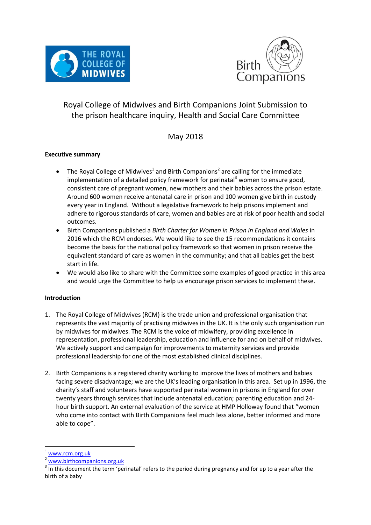



# Royal College of Midwives and Birth Companions Joint Submission to the prison healthcare inquiry, Health and Social Care Committee

## May 2018

## **Executive summary**

- The Royal College of Midwives<sup>1</sup> and Birth Companions<sup>2</sup> are calling for the immediate implementation of a detailed policy framework for perinatal<sup>3</sup> women to ensure good, consistent care of pregnant women, new mothers and their babies across the prison estate. Around 600 women receive antenatal care in prison and 100 women give birth in custody every year in England. Without a legislative framework to help prisons implement and adhere to rigorous standards of care, women and babies are at risk of poor health and social outcomes.
- Birth Companions published a *Birth Charter for Women in Prison in England and Wales* in 2016 which the RCM endorses. We would like to see the 15 recommendations it contains become the basis for the national policy framework so that women in prison receive the equivalent standard of care as women in the community; and that all babies get the best start in life.
- We would also like to share with the Committee some examples of good practice in this area and would urge the Committee to help us encourage prison services to implement these.

## **Introduction**

- 1. The Royal College of Midwives (RCM) is the trade union and professional organisation that represents the vast majority of practising midwives in the UK. It is the only such organisation run by midwives for midwives. The RCM is the voice of midwifery, providing excellence in representation, professional leadership, education and influence for and on behalf of midwives. We actively support and campaign for improvements to maternity services and provide professional leadership for one of the most established clinical disciplines.
- 2. Birth Companions is a registered charity working to improve the lives of mothers and babies facing severe disadvantage; we are the UK's leading organisation in this area. Set up in 1996, the charity's staff and volunteers have supported perinatal women in prisons in England for over twenty years through services that include antenatal education; parenting education and 24 hour birth support. An external evaluation of the service at HMP Holloway found that "women who come into contact with Birth Companions feel much less alone, better informed and more able to cope".

[www.rcm.org.uk](http://www.rcm.org.uk/)

[www.birthcompanions.org.uk](http://www.birthcompanions.org.uk/)

 $3$  In this document the term 'perinatal' refers to the period during pregnancy and for up to a year after the birth of a baby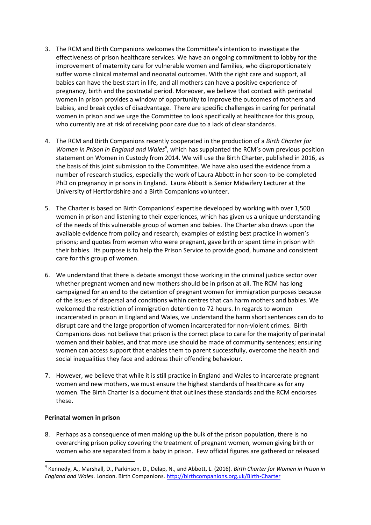- 3. The RCM and Birth Companions welcomes the Committee's intention to investigate the effectiveness of prison healthcare services. We have an ongoing commitment to lobby for the improvement of maternity care for vulnerable women and families, who disproportionately suffer worse clinical maternal and neonatal outcomes. With the right care and support, all babies can have the best start in life, and all mothers can have a positive experience of pregnancy, birth and the postnatal period. Moreover, we believe that contact with perinatal women in prison provides a window of opportunity to improve the outcomes of mothers and babies, and break cycles of disadvantage. There are specific challenges in caring for perinatal women in prison and we urge the Committee to look specifically at healthcare for this group, who currently are at risk of receiving poor care due to a lack of clear standards.
- 4. The RCM and Birth Companions recently cooperated in the production of a *Birth Charter for*  Women in Prison in England and Wales<sup>4</sup>, which has supplanted the RCM's own previous position statement on Women in Custody from 2014. We will use the Birth Charter, published in 2016, as the basis of this joint submission to the Committee. We have also used the evidence from a number of research studies, especially the work of Laura Abbott in her soon-to-be-completed PhD on pregnancy in prisons in England. Laura Abbott is Senior Midwifery Lecturer at the University of Hertfordshire and a Birth Companions volunteer.
- 5. The Charter is based on Birth Companions' expertise developed by working with over 1,500 women in prison and listening to their experiences, which has given us a unique understanding of the needs of this vulnerable group of women and babies. The Charter also draws upon the available evidence from policy and research; examples of existing best practice in women's prisons; and quotes from women who were pregnant, gave birth or spent time in prison with their babies. Its purpose is to help the Prison Service to provide good, humane and consistent care for this group of women.
- 6. We understand that there is debate amongst those working in the criminal justice sector over whether pregnant women and new mothers should be in prison at all. The RCM has long campaigned for an end to the detention of pregnant women for immigration purposes because of the issues of dispersal and conditions within centres that can harm mothers and babies. We welcomed the restriction of immigration detention to 72 hours. In regards to women incarcerated in prison in England and Wales, we understand the harm short sentences can do to disrupt care and the large proportion of women incarcerated for non-violent crimes. Birth Companions does not believe that prison is the correct place to care for the majority of perinatal women and their babies, and that more use should be made of community sentences; ensuring women can access support that enables them to parent successfully, overcome the health and social inequalities they face and address their offending behaviour.
- 7. However, we believe that while it is still practice in England and Wales to incarcerate pregnant women and new mothers, we must ensure the highest standards of healthcare as for any women. The Birth Charter is a document that outlines these standards and the RCM endorses these.

#### **Perinatal women in prison**

**.** 

8. Perhaps as a consequence of men making up the bulk of the prison population, there is no overarching prison policy covering the treatment of pregnant women, women giving birth or women who are separated from a baby in prison. Few official figures are gathered or released

<sup>4</sup> Kennedy, A., Marshall, D., Parkinson, D., Delap, N., and Abbott, L. (2016). *Birth Charter for Women in Prison in England and Wales*. London. Birth Companions. <http://birthcompanions.org.uk/Birth-Charter>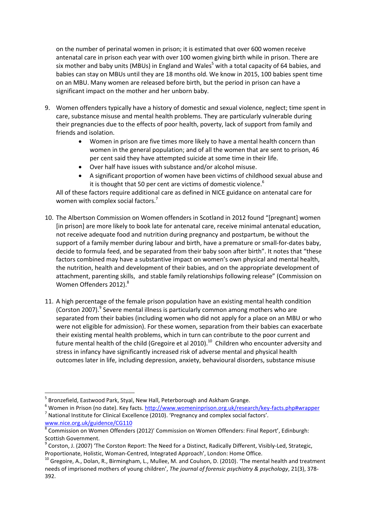on the number of perinatal women in prison; it is estimated that over 600 women receive antenatal care in prison each year with over 100 women giving birth while in prison. There are six mother and baby units (MBUs) in England and Wales<sup>5</sup> with a total capacity of 64 babies, and babies can stay on MBUs until they are 18 months old. We know in 2015, 100 babies spent time on an MBU. Many women are released before birth, but the period in prison can have a significant impact on the mother and her unborn baby.

- 9. Women offenders typically have a history of domestic and sexual violence, neglect; time spent in care, substance misuse and mental health problems. They are particularly vulnerable during their pregnancies due to the effects of poor health, poverty, lack of support from family and friends and isolation.
	- Women in prison are five times more likely to have a mental health concern than women in the general population; and of all the women that are sent to prison, 46 per cent said they have attempted suicide at some time in their life.
	- Over half have issues with substance and/or alcohol misuse.
	- A significant proportion of women have been victims of childhood sexual abuse and it is thought that 50 per cent are victims of domestic violence.<sup>6</sup>

All of these factors require additional care as defined in NICE guidance on antenatal care for women with complex social factors.<sup>7</sup>

- 10. The Albertson Commission on Women offenders in Scotland in 2012 found "[pregnant] women [in prison] are more likely to book late for antenatal care, receive minimal antenatal education, not receive adequate food and nutrition during pregnancy and postpartum, be without the support of a family member during labour and birth, have a premature or small-for-dates baby, decide to formula feed, and be separated from their baby soon after birth". It notes that "these factors combined may have a substantive impact on women's own physical and mental health, the nutrition, health and development of their babies, and on the appropriate development of attachment, parenting skills, and stable family relationships following release" (Commission on Women Offenders 2012).<sup>8</sup>
- 11. A high percentage of the female prison population have an existing mental health condition (Corston 2007).<sup>9</sup> Severe mental illness is particularly common among mothers who are separated from their babies (including women who did not apply for a place on an MBU or who were not eligible for admission). For these women, separation from their babies can exacerbate their existing mental health problems, which in turn can contribute to the poor current and future mental health of the child (Gregoire et al 2010).<sup>10</sup> Children who encounter adversity and stress in infancy have significantly increased risk of adverse mental and physical health outcomes later in life, including depression, anxiety, behavioural disorders, substance misuse

<sup>&</sup>lt;sup>5</sup> Bronzefield, Eastwood Park, Styal, New Hall, Peterborough and Askham Grange.

<sup>&</sup>lt;sup>6</sup> Women in Prison (no date). Key facts[. http://www.womeninprison.org.uk/research/key-facts.php#wrapper](http://www.womeninprison.org.uk/research/key-facts.php#wrapper)  $^7$  National Institute for Clinical Excellence (2010). 'Pregnancy and complex social factors'.

[www.nice.org.uk/guidence/CG110](http://www.nice.org.uk/guidence/CG110) 

<sup>8</sup> Commission on Women Offenders (2012)' Commission on Women Offenders: Final Report', Edinburgh: Scottish Government.

<sup>&</sup>lt;sup>9</sup> Corston, J. (2007) 'The Corston Report: The Need for a Distinct, Radically Different, Visibly-Led, Strategic, Proportionate, Holistic, Woman-Centred, Integrated Approach', London: Home Office.

<sup>&</sup>lt;sup>10</sup> Gregoire, A., Dolan, R., Birmingham, L., Mullee, M. and Coulson, D. (2010). 'The mental health and treatment needs of imprisoned mothers of young children', *The journal of forensic psychiatry & psychology*, 21(3), 378- 392.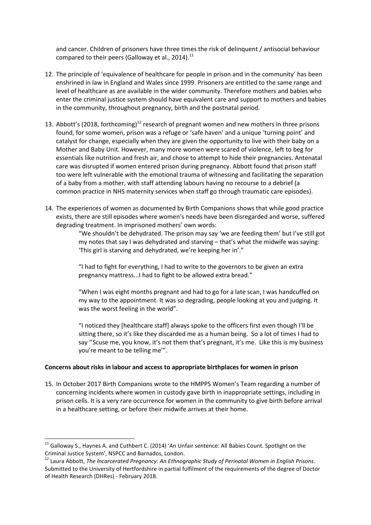and cancer. Children of prisoners have three times the risk of delinquent / antisocial behaviour compared to their peers (Galloway et al., 2014).<sup>11</sup>

- 12. The principle of 'equivalence of healthcare for people in prison and in the community' has been enshrined in law in England and Wales since 1999. Prisoners are entitled to the same range and level of healthcare as are available in the wider community. Therefore mothers and babies who enter the criminal justice system should have equivalent care and support to mothers and babies in the community, throughout pregnancy, birth and the postnatal period.
- 13. Abbott's (2018, forthcoming)<sup>12</sup> research of pregnant women and new mothers in three prisons found, for some women, prison was a refuge or 'safe haven' and a unique 'turning point' and catalyst for change, especially when they are given the opportunity to live with their baby on a Mother and Baby Unit. However, many more women were scared of violence, left to beg for essentials like nutrition and fresh air, and chose to attempt to hide their pregnancies. Antenatal care was disrupted if women entered prison during pregnancy. Abbott found that prison staff too were left vulnerable with the emotional trauma of witnessing and facilitating the separation of a baby from a mother, with staff attending labours having no recourse to a debrief (a common practice in NHS maternity services when staff go through traumatic care episodes).
- 14. The experiences of women as documented by Birth Companions shows that while good practice exists, there are still episodes where women's needs have been disregarded and worse, suffered degrading treatment. In imprisoned mothers' own words:

"We shouldn't be dehydrated. The prison may say 'we are feeding them' but I've still got my notes that say I was dehydrated and starving – that's what the midwife was saying: 'This girl is starving and dehydrated, we're keeping her in'."

"I had to fight for everything, I had to write to the governors to be given an extra pregnancy mattress...I had to fight to be allowed extra bread."

"When I was eight months pregnant and had to go for a late scan, I was handcuffed on my way to the appointment. It was so degrading, people looking at you and judging. It was the worst feeling in the world".

"I noticed they [healthcare staff] always spoke to the officers first even though I'll be sitting there, so it's like they discarded me as a human being. So a lot of times I had to say ''Scuse me, you know, it's not them that's pregnant, it's me. Like this is my business you're meant to be telling me'".

#### **Concerns about risks in labour and access to appropriate birthplaces for women in prison**

15. In October 2017 Birth Companions wrote to the HMPPS Women's Team regarding a number of concerning incidents where women in custody gave birth in inappropriate settings, including in prison cells. It is a very rare occurrence for women in the community to give birth before arrival in a healthcare setting, or before their midwife arrives at their home.

 $\overline{\phantom{a}}$ 

<sup>&</sup>lt;sup>11</sup> Galloway S., Haynes A. and Cuthbert C. (2014) 'An Unfair sentence: All Babies Count. Spotlight on the Criminal Justice System', NSPCC and Barnados, London.

<sup>12</sup> Laura Abbott, *The Incarcerated Pregnancy: An Ethnographic Study of Perinatal Women in English Prisons*. Submitted to the University of Hertfordshire in partial fulfilment of the requirements of the degree of Doctor of Health Research (DHRes) - February 2018.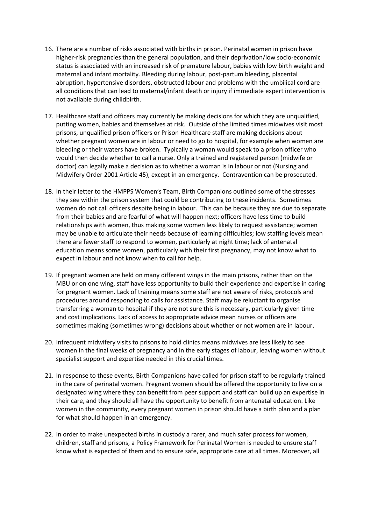- 16. There are a number of risks associated with births in prison. Perinatal women in prison have higher-risk pregnancies than the general population, and their deprivation/low socio-economic status is associated with an increased risk of premature labour, babies with low birth weight and maternal and infant mortality. Bleeding during labour, post-partum bleeding, placental abruption, hypertensive disorders, obstructed labour and problems with the umbilical cord are all conditions that can lead to maternal/infant death or injury if immediate expert intervention is not available during childbirth.
- 17. Healthcare staff and officers may currently be making decisions for which they are unqualified, putting women, babies and themselves at risk. Outside of the limited times midwives visit most prisons, unqualified prison officers or Prison Healthcare staff are making decisions about whether pregnant women are in labour or need to go to hospital, for example when women are bleeding or their waters have broken. Typically a woman would speak to a prison officer who would then decide whether to call a nurse. Only a trained and registered person (midwife or doctor) can legally make a decision as to whether a woman is in labour or not (Nursing and Midwifery Order 2001 Article 45), except in an emergency. Contravention can be prosecuted.
- 18. In their letter to the HMPPS Women's Team, Birth Companions outlined some of the stresses they see within the prison system that could be contributing to these incidents. Sometimes women do not call officers despite being in labour. This can be because they are due to separate from their babies and are fearful of what will happen next; officers have less time to build relationships with women, thus making some women less likely to request assistance; women may be unable to articulate their needs because of learning difficulties; low staffing levels mean there are fewer staff to respond to women, particularly at night time; lack of antenatal education means some women, particularly with their first pregnancy, may not know what to expect in labour and not know when to call for help.
- 19. If pregnant women are held on many different wings in the main prisons, rather than on the MBU or on one wing, staff have less opportunity to build their experience and expertise in caring for pregnant women. Lack of training means some staff are not aware of risks, protocols and procedures around responding to calls for assistance. Staff may be reluctant to organise transferring a woman to hospital if they are not sure this is necessary, particularly given time and cost implications. Lack of access to appropriate advice mean nurses or officers are sometimes making (sometimes wrong) decisions about whether or not women are in labour.
- 20. Infrequent midwifery visits to prisons to hold clinics means midwives are less likely to see women in the final weeks of pregnancy and in the early stages of labour, leaving women without specialist support and expertise needed in this crucial times.
- 21. In response to these events, Birth Companions have called for prison staff to be regularly trained in the care of perinatal women. Pregnant women should be offered the opportunity to live on a designated wing where they can benefit from peer support and staff can build up an expertise in their care, and they should all have the opportunity to benefit from antenatal education. Like women in the community, every pregnant women in prison should have a birth plan and a plan for what should happen in an emergency.
- 22. In order to make unexpected births in custody a rarer, and much safer process for women, children, staff and prisons, a Policy Framework for Perinatal Women is needed to ensure staff know what is expected of them and to ensure safe, appropriate care at all times. Moreover, all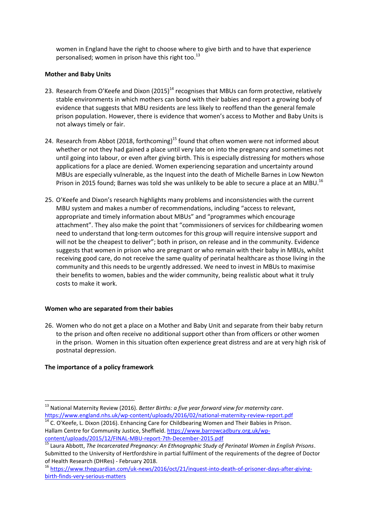women in England have the right to choose where to give birth and to have that experience personalised; women in prison have this right too.<sup>13</sup>

#### **Mother and Baby Units**

- 23. Research from O'Keefe and Dixon (2015)<sup>14</sup> recognises that MBUs can form protective, relatively stable environments in which mothers can bond with their babies and report a growing body of evidence that suggests that MBU residents are less likely to reoffend than the general female prison population. However, there is evidence that women's access to Mother and Baby Units is not always timely or fair.
- 24. Research from Abbot (2018, forthcoming)<sup>15</sup> found that often women were not informed about whether or not they had gained a place until very late on into the pregnancy and sometimes not until going into labour, or even after giving birth. This is especially distressing for mothers whose applications for a place are denied. Women experiencing separation and uncertainty around MBUs are especially vulnerable, as the Inquest into the death of Michelle Barnes in Low Newton Prison in 2015 found; Barnes was told she was unlikely to be able to secure a place at an MBU.<sup>16</sup>
- 25. O'Keefe and Dixon's research highlights many problems and inconsistencies with the current MBU system and makes a number of recommendations, including "access to relevant, appropriate and timely information about MBUs" and "programmes which encourage attachment". They also make the point that "commissioners of services for childbearing women need to understand that long-term outcomes for this group will require intensive support and will not be the cheapest to deliver"; both in prison, on release and in the community. Evidence suggests that women in prison who are pregnant or who remain with their baby in MBUs, whilst receiving good care, do not receive the same quality of perinatal healthcare as those living in the community and this needs to be urgently addressed. We need to invest in MBUs to maximise their benefits to women, babies and the wider community, being realistic about what it truly costs to make it work.

#### **Women who are separated from their babies**

26. Women who do not get a place on a Mother and Baby Unit and separate from their baby return to the prison and often receive no additional support other than from officers or other women in the prison. Women in this situation often experience great distress and are at very high risk of postnatal depression.

## **The importance of a policy framework**

<sup>13</sup> National Maternity Review (2016). *Better Births: a five year forward view for maternity care*. <https://www.england.nhs.uk/wp-content/uploads/2016/02/national-maternity-review-report.pdf>

<sup>&</sup>lt;sup>14</sup> C. O'Keefe, L. Dixon (2016). Enhancing Care for Childbearing Women and Their Babies in Prison. Hallam Centre for Community Justice, Sheffield. [https://www.barrowcadbury.org.uk/wp](https://www.barrowcadbury.org.uk/wp-content/uploads/2015/12/FINAL-MBU-report-7th-December-2015.pdf)[content/uploads/2015/12/FINAL-MBU-report-7th-December-2015.pdf](https://www.barrowcadbury.org.uk/wp-content/uploads/2015/12/FINAL-MBU-report-7th-December-2015.pdf)

<sup>15</sup> Laura Abbott, *The Incarcerated Pregnancy: An Ethnographic Study of Perinatal Women in English Prisons*. Submitted to the University of Hertfordshire in partial fulfilment of the requirements of the degree of Doctor of Health Research (DHRes) - February 2018.

<sup>&</sup>lt;sup>16</sup> [https://www.theguardian.com/uk-news/2016/oct/21/inquest-into-death-of-prisoner-days-after-giving](https://www.theguardian.com/uk-news/2016/oct/21/inquest-into-death-of-prisoner-days-after-giving-birth-finds-very-serious-matters)[birth-finds-very-serious-matters](https://www.theguardian.com/uk-news/2016/oct/21/inquest-into-death-of-prisoner-days-after-giving-birth-finds-very-serious-matters)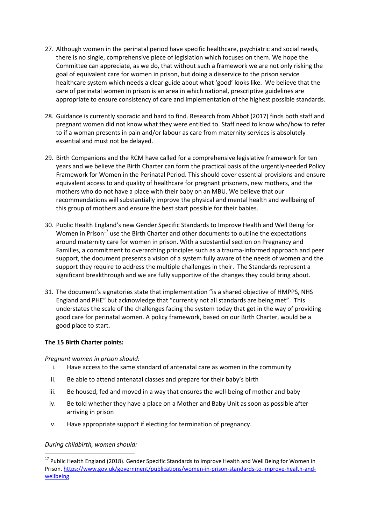- 27. Although women in the perinatal period have specific healthcare, psychiatric and social needs, there is no single, comprehensive piece of legislation which focuses on them. We hope the Committee can appreciate, as we do, that without such a framework we are not only risking the goal of equivalent care for women in prison, but doing a disservice to the prison service healthcare system which needs a clear guide about what 'good' looks like. We believe that the care of perinatal women in prison is an area in which national, prescriptive guidelines are appropriate to ensure consistency of care and implementation of the highest possible standards.
- 28. Guidance is currently sporadic and hard to find. Research from Abbot (2017) finds both staff and pregnant women did not know what they were entitled to. Staff need to know who/how to refer to if a woman presents in pain and/or labour as care from maternity services is absolutely essential and must not be delayed.
- 29. Birth Companions and the RCM have called for a comprehensive legislative framework for ten years and we believe the Birth Charter can form the practical basis of the urgently-needed Policy Framework for Women in the Perinatal Period. This should cover essential provisions and ensure equivalent access to and quality of healthcare for pregnant prisoners, new mothers, and the mothers who do not have a place with their baby on an MBU. We believe that our recommendations will substantially improve the physical and mental health and wellbeing of this group of mothers and ensure the best start possible for their babies.
- 30. Public Health England's new [Gender Specific Standards to Improve Health and Well Being for](https://birthcompanions.us11.list-manage.com/track/click?u=4643697101da13d33b0f23a37&id=8b9a1944f3&e=2009b45b4e)  [Women in Prison](https://birthcompanions.us11.list-manage.com/track/click?u=4643697101da13d33b0f23a37&id=8b9a1944f3&e=2009b45b4e) $17$  use the Birth Charter and other documents to outline the expectations around maternity care for women in prison. With a substantial section on Pregnancy and Families, a commitment to overarching principles such as a trauma-informed approach and peer support, the document presents a vision of a system fully aware of the needs of women and the support they require to address the multiple challenges in their. The Standards represent a significant breakthrough and we are fully supportive of the changes they could bring about.
- 31. The document's signatories state that implementation "is a shared objective of HMPPS, NHS England and PHE" but acknowledge that "currently not all standards are being met". This understates the scale of the challenges facing the system today that get in the way of providing good care for perinatal women. A policy framework, based on our Birth Charter, would be a good place to start.

#### **The 15 Birth Charter points:**

*Pregnant women in prison should:*

- i. Have access to the same standard of antenatal care as women in the community
- ii. Be able to attend antenatal classes and prepare for their baby's birth
- iii. Be housed, fed and moved in a way that ensures the well-being of mother and baby
- iv. Be told whether they have a place on a Mother and Baby Unit as soon as possible after arriving in prison
- v. Have appropriate support if electing for termination of pregnancy.

## *During childbirth, women should:*

**<sup>.</sup>** <sup>17</sup> Public Health England (2018). Gender Specific Standards to Improve Health and Well Being for Women in Prison. [https://www.gov.uk/government/publications/women-in-prison-standards-to-improve-health-and](https://www.gov.uk/government/publications/women-in-prison-standards-to-improve-health-and-wellbeing)[wellbeing](https://www.gov.uk/government/publications/women-in-prison-standards-to-improve-health-and-wellbeing)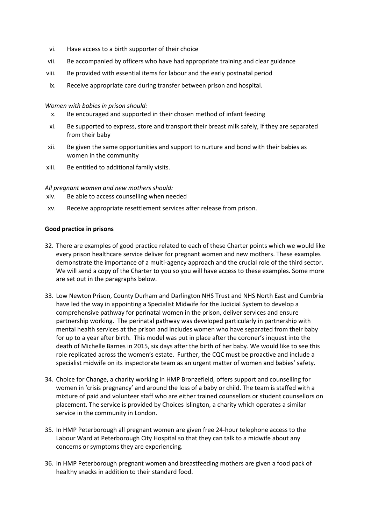- vi. Have access to a birth supporter of their choice
- vii. Be accompanied by officers who have had appropriate training and clear guidance
- viii. Be provided with essential items for labour and the early postnatal period
- ix. Receive appropriate care during transfer between prison and hospital.

#### *Women with babies in prison should:*

- x. Be encouraged and supported in their chosen method of infant feeding
- xi. Be supported to express, store and transport their breast milk safely, if they are separated from their baby
- xii. Be given the same opportunities and support to nurture and bond with their babies as women in the community
- xiii. Be entitled to additional family visits.

#### *All pregnant women and new mothers should:*

- xiv. Be able to access counselling when needed
- xv. Receive appropriate resettlement services after release from prison.

#### **Good practice in prisons**

- 32. There are examples of good practice related to each of these Charter points which we would like every prison healthcare service deliver for pregnant women and new mothers. These examples demonstrate the importance of a multi-agency approach and the crucial role of the third sector. We will send a copy of the Charter to you so you will have access to these examples. Some more are set out in the paragraphs below.
- 33. Low Newton Prison, County Durham and Darlington NHS Trust and NHS North East and Cumbria have led the way in appointing a Specialist Midwife for the Judicial System to develop a comprehensive pathway for perinatal women in the prison, deliver services and ensure partnership working. The perinatal pathway was developed particularly in partnership with mental health services at the prison and includes women who have separated from their baby for up to a year after birth. This model was put in place after the coroner's inquest into the death of Michelle Barnes in 2015, six days after the birth of her baby. We would like to see this role replicated across the women's estate. Further, the CQC must be proactive and include a specialist midwife on its inspectorate team as an urgent matter of women and babies' safety.
- 34. Choice for Change, a charity working in HMP Bronzefield, offers support and counselling for women in 'crisis pregnancy' and around the loss of a baby or child. The team is staffed with a mixture of paid and volunteer staff who are either trained counsellors or student counsellors on placement. The service is provided by Choices Islington, a charity which operates a similar service in the community in London.
- 35. In HMP Peterborough all pregnant women are given free 24-hour telephone access to the Labour Ward at Peterborough City Hospital so that they can talk to a midwife about any concerns or symptoms they are experiencing.
- 36. In HMP Peterborough pregnant women and breastfeeding mothers are given a food pack of healthy snacks in addition to their standard food.